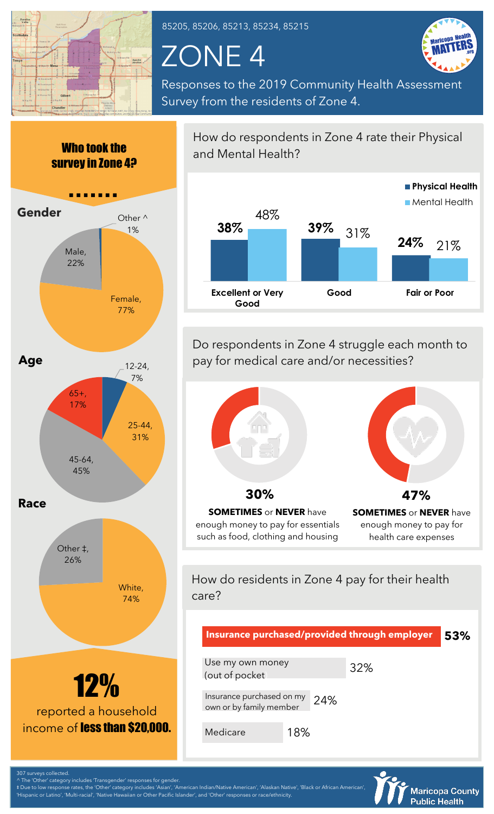

85205, 85206, 85213, 85234, 85215

## ZONE 4



Responses to the 2019 Community Health Assessment Survey from the residents of Zone 4.



How do respondents in Zone 4 rate their Physical and Mental Health?



Do respondents in Zone 4 struggle each month to pay for medical care and/or necessities?



How do residents in Zone 4 pay for their health care?

|                                                      |     |     | Insurance purchased/provided through employer | 53% |
|------------------------------------------------------|-----|-----|-----------------------------------------------|-----|
| Use my own money<br>(out of pocket)                  |     |     | 32%                                           |     |
| Insurance purchased on my<br>own or by family member |     | 24% |                                               |     |
| Medicare                                             | 18% |     |                                               |     |



‡ Due to low response rates, the 'Other' category includes 'Asian', 'American Indian/Native American', 'Alaskan Native', 'Black or African American', 'Hispanic or Latino', 'Multi-racial', 'Native Hawaiian or Other Pacific Islander', and 'Other' responses or race/ethnicity.